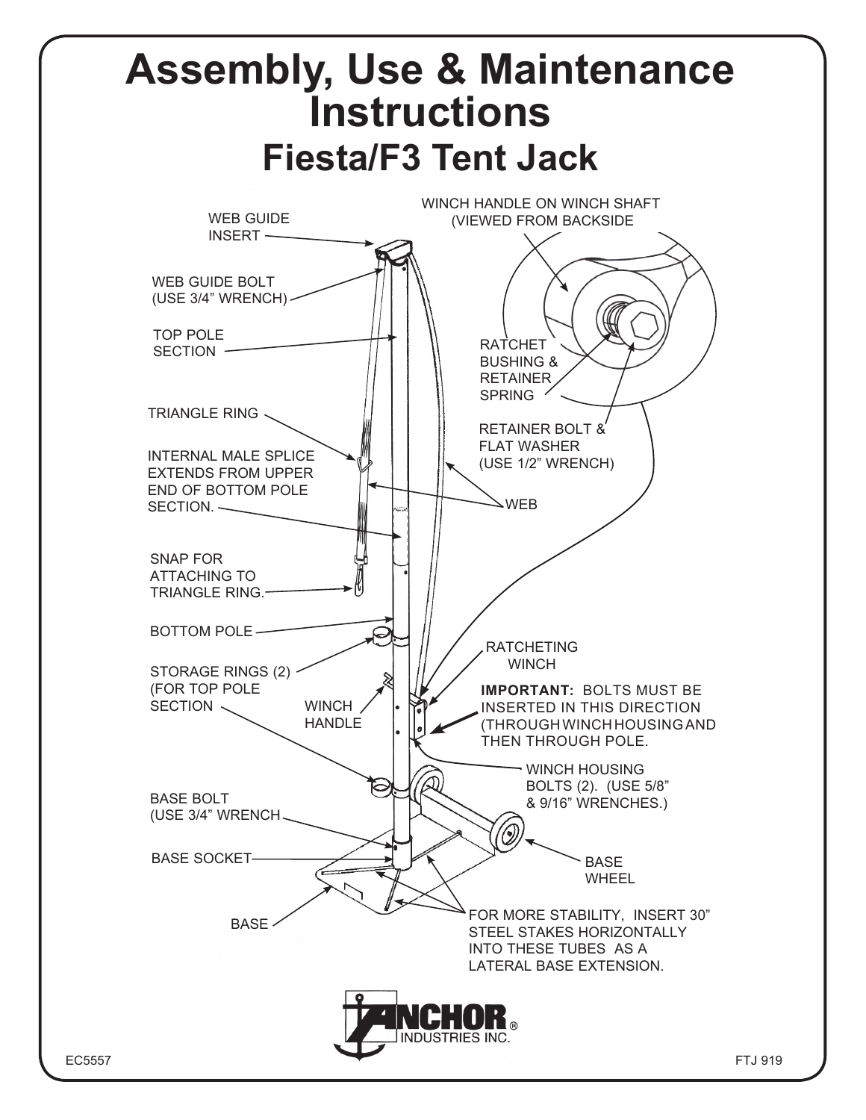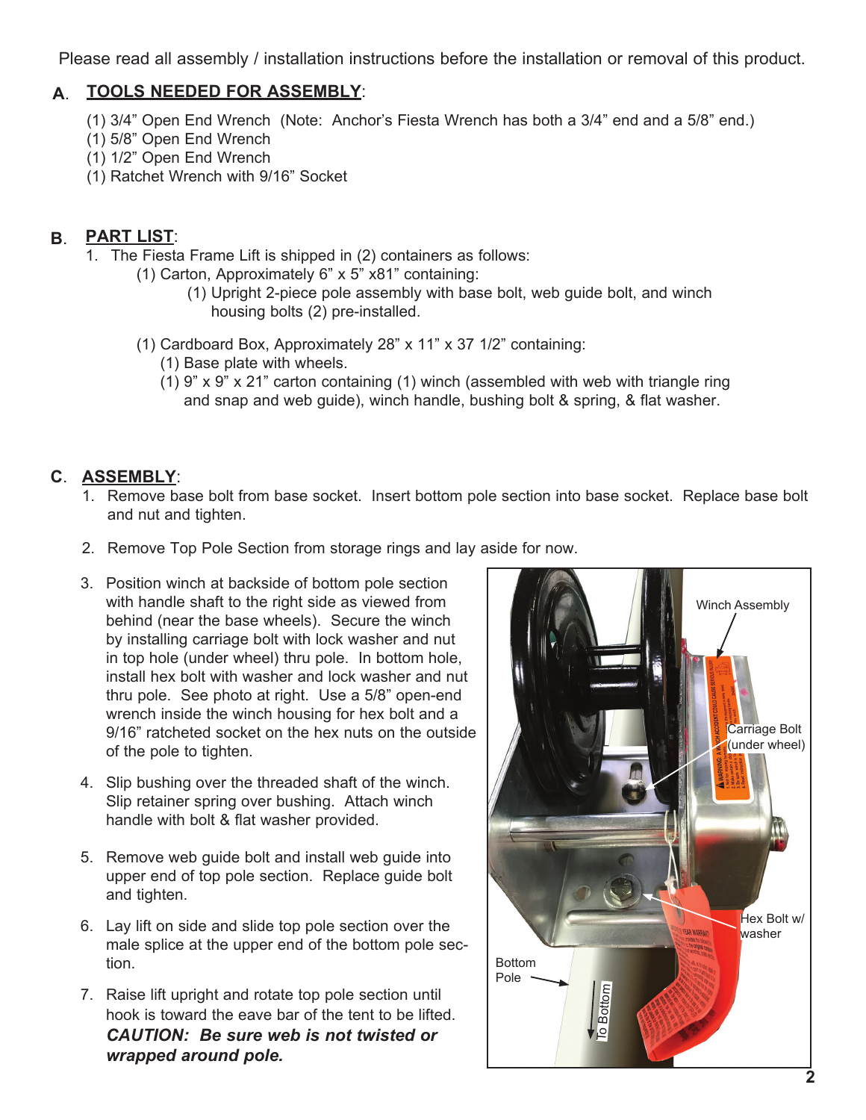Please read all assembly / installation instructions before the installation or removal of this product.

### **TOOLS NEEDED FOR ASSEMBLY**: **A**.

- (1) 3/4" Open End Wrench (Note: Anchor's Fiesta Wrench has both a 3/4" end and a 5/8" end.)
- (1) 5/8" Open End Wrench
- (1) 1/2" Open End Wrench
- (1) Ratchet Wrench with 9/16" Socket

### **B**. **PART LIST**:

- 1. The Fiesta Frame Lift is shipped in (2) containers as follows:
	- (1) Carton, Approximately 6" x 5" x81" containing:
		- (1) Upright 2-piece pole assembly with base bolt, web guide bolt, and winch housing bolts (2) pre-installed.
	- (1) Cardboard Box, Approximately 28" x 11" x 37 1/2" containing:
		- (1) Base plate with wheels.
		- (1) 9" x 9" x 21" carton containing (1) winch (assembled with web with triangle ring and snap and web guide), winch handle, bushing bolt & spring, & flat washer.

## **ASSEMBLY**: **C**.

- 1. Remove base bolt from base socket. Insert bottom pole section into base socket. Replace base bolt and nut and tighten.
- 2. Remove Top Pole Section from storage rings and lay aside for now.
- 3. Position winch at backside of bottom pole section with handle shaft to the right side as viewed from behind (near the base wheels). Secure the winch by installing carriage bolt with lock washer and nut in top hole (under wheel) thru pole. In bottom hole, install hex bolt with washer and lock washer and nut thru pole. See photo at right. Use a 5/8" open-end wrench inside the winch housing for hex bolt and a 9/16" ratcheted socket on the hex nuts on the outside of the pole to tighten.
- 4. Slip bushing over the threaded shaft of the winch. Slip retainer spring over bushing. Attach winch handle with bolt & flat washer provided.
- 5. Remove web guide bolt and install web guide into upper end of top pole section. Replace guide bolt and tighten.
- 6. Lay lift on side and slide top pole section over the male splice at the upper end of the bottom pole section.
- 7. Raise lift upright and rotate top pole section until hook is toward the eave bar of the tent to be lifted. *CAUTION: Be sure web is not twisted or wrapped around pole.*

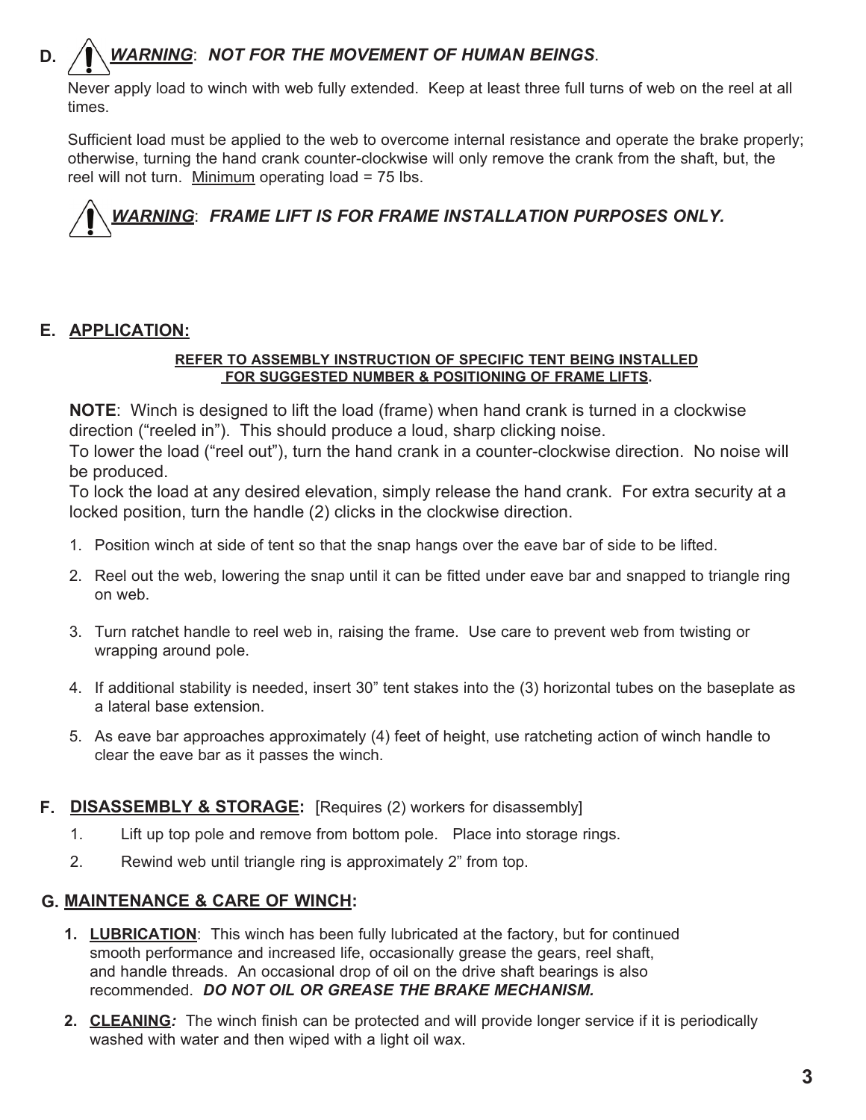#### **D.** *WARNING*: *NOT FOR THE MOVEMENT OF HUMAN BEINGS*.

Never apply load to winch with web fully extended. Keep at least three full turns of web on the reel at all times.

Sufficient load must be applied to the web to overcome internal resistance and operate the brake properly; otherwise, turning the hand crank counter-clockwise will only remove the crank from the shaft, but, the reel will not turn. Minimum operating load  $= 75$  lbs.

# *WARNING*: *FRAME LIFT IS FOR FRAME INSTALLATION PURPOSES ONLY.*

### **APPLICATION: E.**

### **REFER TO ASSEMBLY INSTRUCTION OF SPECIFIC TENT BEING INSTALLED FOR SUGGESTED NUMBER & POSITIONING OF FRAME LIFTS.**

**NOTE**: Winch is designed to lift the load (frame) when hand crank is turned in a clockwise direction ("reeled in"). This should produce a loud, sharp clicking noise.

To lower the load ("reel out"), turn the hand crank in a counter-clockwise direction. No noise will be produced.

To lock the load at any desired elevation, simply release the hand crank. For extra security at a locked position, turn the handle (2) clicks in the clockwise direction.

- 1. Position winch at side of tent so that the snap hangs over the eave bar of side to be lifted.
- 2. Reel out the web, lowering the snap until it can be fitted under eave bar and snapped to triangle ring on web.
- 3. Turn ratchet handle to reel web in, raising the frame. Use care to prevent web from twisting or wrapping around pole.
- 4. If additional stability is needed, insert 30" tent stakes into the (3) horizontal tubes on the baseplate as a lateral base extension.
- 5. As eave bar approaches approximately (4) feet of height, use ratcheting action of winch handle to clear the eave bar as it passes the winch.

### **DISASSEMBLY & STORAGE:** [Requires (2) workers for disassembly] **F.**

- 1. Lift up top pole and remove from bottom pole. Place into storage rings.
- 2. Rewind web until triangle ring is approximately 2" from top.

### **MAINTENANCE & CARE OF WINCH: G.**

- **1. LUBRICATION**: This winch has been fully lubricated at the factory, but for continued smooth performance and increased life, occasionally grease the gears, reel shaft, and handle threads. An occasional drop of oil on the drive shaft bearings is also recommended. *DO NOT OIL OR GREASE THE BRAKE MECHANISM.*
- **2. CLEANING***:* The winch finish can be protected and will provide longer service if it is periodically washed with water and then wiped with a light oil wax.